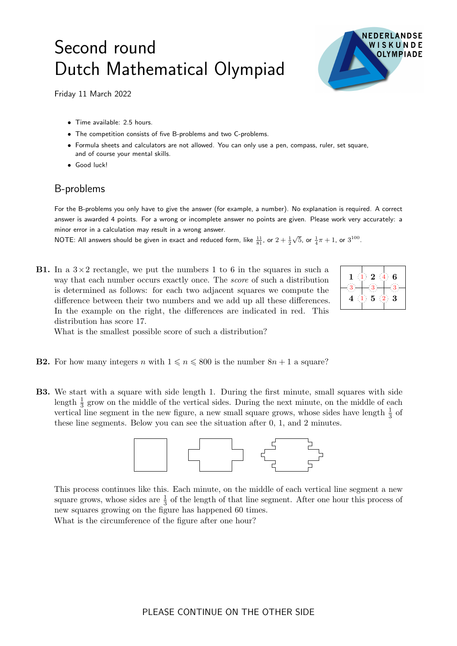## Second round Dutch Mathematical Olympiad



Friday 11 March 2022

- Time available: 2.5 hours.
- The competition consists of five B-problems and two C-problems.
- Formula sheets and calculators are not allowed. You can only use a pen, compass, ruler, set square, and of course your mental skills.
- Good luck!

## B-problems

For the B-problems you only have to give the answer (for example, a number). No explanation is required. A correct answer is awarded 4 points. For a wrong or incomplete answer no points are given. Please work very accurately: a minor error in a calculation may result in a wrong answer.

NOTE: All answers should be given in exact and reduced form, like  $\frac{11}{81}$ , or  $2+\frac{1}{2}$  $\sqrt{5}$ , or  $\frac{1}{4}\pi + 1$ , or  $3^{100}$ .

**B1.** In a  $3 \times 2$  rectangle, we put the numbers 1 to 6 in the squares in such a way that each number occurs exactly once. The score of such a distribution is determined as follows: for each two adjacent squares we compute the difference between their two numbers and we add up all these differences. In the example on the right, the differences are indicated in red. This distribution has score 17.



What is the smallest possible score of such a distribution?

- **B2.** For how many integers n with  $1 \le n \le 800$  is the number  $8n + 1$  a square?
- B3. We start with a square with side length 1. During the first minute, small squares with side length  $\frac{1}{3}$  grow on the middle of the vertical sides. During the next minute, on the middle of each vertical line segment in the new figure, a new small square grows, whose sides have length  $\frac{1}{3}$  of these line segments. Below you can see the situation after 0, 1, and 2 minutes.



This process continues like this. Each minute, on the middle of each vertical line segment a new square grows, whose sides are  $\frac{1}{3}$  of the length of that line segment. After one hour this process of new squares growing on the figure has happened 60 times. What is the circumference of the figure after one hour?